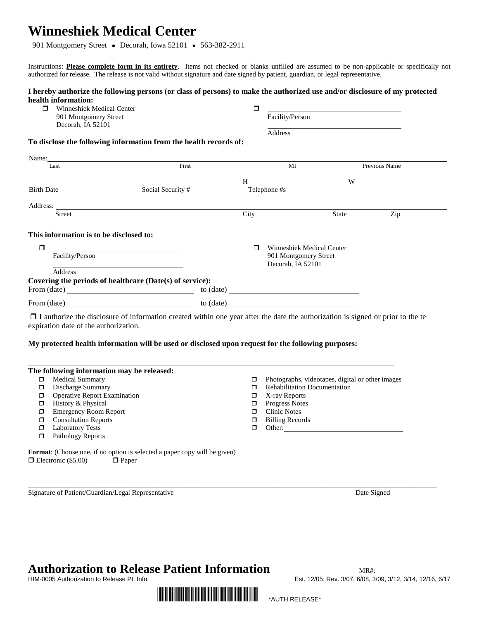## **Winneshiek Medical Center**

901 Montgomery Street • Decorah, Iowa 52101 • 563-382-2911

Instructions: **Please complete form in its entirety**. Items not checked or blanks unfilled are assumed to be non-applicable or specifically not authorized for release. The release is not valid without signature and date signed by patient, guardian, or legal representative.

 $\Box$ 

### **I hereby authorize the following persons (or class of persons) to make the authorized use and/or disclosure of my protected health information:**<br> $\Box$  Winneshiek N

| ⊓ | Winneshiek Medical Center |
|---|---------------------------|
|   | 901 Montgomery Street     |
|   | Decorah. IA 52101         |

| Facility/Person |  |  |
|-----------------|--|--|
| Address         |  |  |

### **To disclose the following information from the health records of:**

| Name:                                             |                                                          |                                                                                                                                                                                                                               |                                                    |                |  |
|---------------------------------------------------|----------------------------------------------------------|-------------------------------------------------------------------------------------------------------------------------------------------------------------------------------------------------------------------------------|----------------------------------------------------|----------------|--|
| Last                                              | First                                                    |                                                                                                                                                                                                                               | MI                                                 | Previous Name  |  |
|                                                   |                                                          | $H$ and $H$ and $H$ and $H$ and $H$ and $H$ and $H$ and $H$ and $H$ and $H$ and $H$ and $H$ and $H$ and $H$ and $H$ and $H$ and $H$ and $H$ and $H$ and $H$ and $H$ and $H$ and $H$ and $H$ and $H$ and $H$ and $H$ and $H$ a |                                                    | W <sub>1</sub> |  |
| <b>Birth Date</b>                                 | Social Security #                                        | Telephone #s                                                                                                                                                                                                                  |                                                    |                |  |
|                                                   |                                                          |                                                                                                                                                                                                                               |                                                    |                |  |
| <b>Street</b>                                     |                                                          | City                                                                                                                                                                                                                          | <b>State</b>                                       | Zip            |  |
| This information is to be disclosed to:<br>$\Box$ |                                                          |                                                                                                                                                                                                                               | <b>Winneshiek Medical Center</b>                   |                |  |
| Facility/Person                                   |                                                          |                                                                                                                                                                                                                               | 901 Montgomery Street<br>Decorah, IA 52101         |                |  |
| <b>Address</b>                                    |                                                          |                                                                                                                                                                                                                               |                                                    |                |  |
|                                                   | Covering the periods of healthcare (Date(s) of service): |                                                                                                                                                                                                                               |                                                    |                |  |
| From $(data)$                                     |                                                          |                                                                                                                                                                                                                               |                                                    |                |  |
|                                                   | to (date)                                                |                                                                                                                                                                                                                               | <u> 1986 - John Stein, Amerikaansk politiker (</u> |                |  |

 $\Box$  I authorize the disclosure of information created within one year after the date the authorization is signed or prior to the te expiration date of the authorization.

#### **My protected health information will be used or disclosed upon request for the following purposes:**

|   | The following information may be released: |   |                                                  |
|---|--------------------------------------------|---|--------------------------------------------------|
| ◻ | <b>Medical Summary</b>                     | ◻ | Photographs, videotapes, digital or other images |
| ◻ | Discharge Summary                          |   | <b>Rehabilitation Documentation</b>              |
| ◻ | <b>Operative Report Examination</b>        | □ | X-ray Reports                                    |
| ◻ | History & Physical                         | п | <b>Progress Notes</b>                            |
| ◻ | <b>Emergency Room Report</b>               |   | <b>Clinic Notes</b>                              |
| п | <b>Consultation Reports</b>                | п | <b>Billing Records</b>                           |
|   | <b>Laboratory Tests</b>                    |   | Other:                                           |
| ⊓ | Pathology Reports                          |   |                                                  |

\_\_\_\_\_\_\_\_\_\_\_\_\_\_\_\_\_\_\_\_\_\_\_\_\_\_\_\_\_\_\_\_\_\_\_\_\_\_\_\_\_\_\_\_\_\_\_\_\_\_\_\_\_\_\_\_\_\_\_\_\_\_\_\_\_\_\_\_\_\_\_\_\_\_\_\_\_\_\_\_\_\_\_\_\_\_\_\_\_\_\_\_\_\_\_\_\_\_\_\_\_\_\_\_\_\_\_\_\_\_\_\_\_\_\_\_

**Format**: (Choose one, if no option is selected a paper copy will be given)  $\Box$  Electronic (\$5.00)  $\Box$  Paper

Signature of Patient/Guardian/Legal Representative Date Signed

# Authorization to Release Patient Information<br>HIM-0005 Authorization to Release Pt. Info. **Expanding the Sect. 12/05:** Rev. 3/07, 6/08, 3/